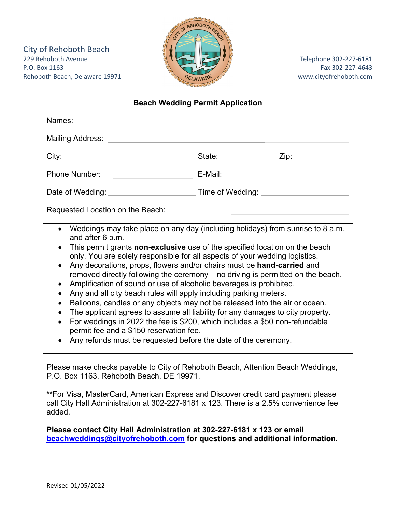City of Rehoboth Beach 229 Rehoboth Avenue Telephone 302‐227‐6181 P.O. Box 1163 Fax 302-227-4643 Rehoboth Beach, Delaware 19971 **Bullet Accord Contract Contract Accord Contract Contract Contract Contract Contract Contract Contract Contract Contract Contract Contract Contract Contract Contract Contract Contract Contra** 



## **Beach Wedding Permit Application**

| Names:                                                                                                                                                                                                                                                                                                                                                                                                                                                                                                                                                                                                                                                                                                                                                                                                                                                                                                                                                                                                                      |                                             |
|-----------------------------------------------------------------------------------------------------------------------------------------------------------------------------------------------------------------------------------------------------------------------------------------------------------------------------------------------------------------------------------------------------------------------------------------------------------------------------------------------------------------------------------------------------------------------------------------------------------------------------------------------------------------------------------------------------------------------------------------------------------------------------------------------------------------------------------------------------------------------------------------------------------------------------------------------------------------------------------------------------------------------------|---------------------------------------------|
|                                                                                                                                                                                                                                                                                                                                                                                                                                                                                                                                                                                                                                                                                                                                                                                                                                                                                                                                                                                                                             |                                             |
|                                                                                                                                                                                                                                                                                                                                                                                                                                                                                                                                                                                                                                                                                                                                                                                                                                                                                                                                                                                                                             |                                             |
| <b>Phone Number:</b><br><u> 1980 - Johann Barbara, martin d</u>                                                                                                                                                                                                                                                                                                                                                                                                                                                                                                                                                                                                                                                                                                                                                                                                                                                                                                                                                             | E-Mail: ___________________________________ |
|                                                                                                                                                                                                                                                                                                                                                                                                                                                                                                                                                                                                                                                                                                                                                                                                                                                                                                                                                                                                                             |                                             |
|                                                                                                                                                                                                                                                                                                                                                                                                                                                                                                                                                                                                                                                                                                                                                                                                                                                                                                                                                                                                                             |                                             |
| Weddings may take place on any day (including holidays) from sunrise to 8 a.m.<br>$\bullet$<br>and after 6 p.m.<br>This permit grants non-exclusive use of the specified location on the beach<br>only. You are solely responsible for all aspects of your wedding logistics.<br>Any decorations, props, flowers and/or chairs must be <b>hand-carried</b> and<br>$\bullet$<br>removed directly following the ceremony – no driving is permitted on the beach.<br>Amplification of sound or use of alcoholic beverages is prohibited.<br>$\bullet$<br>Any and all city beach rules will apply including parking meters.<br>$\bullet$<br>Balloons, candles or any objects may not be released into the air or ocean.<br>$\bullet$<br>The applicant agrees to assume all liability for any damages to city property.<br>$\bullet$<br>For weddings in 2022 the fee is \$200, which includes a \$50 non-refundable<br>permit fee and a \$150 reservation fee.<br>Any refunds must be requested before the date of the ceremony. |                                             |

Please make checks payable to City of Rehoboth Beach, Attention Beach Weddings, P.O. Box 1163, Rehoboth Beach, DE 19971.

**\*\***For Visa, MasterCard, American Express and Discover credit card payment please call City Hall Administration at 302-227-6181 x 123. There is a 2.5% convenience fee added.

**Please contact City Hall Administration at 302-227-6181 x 123 or email beachweddings@cityofrehoboth.com for questions and additional information.**